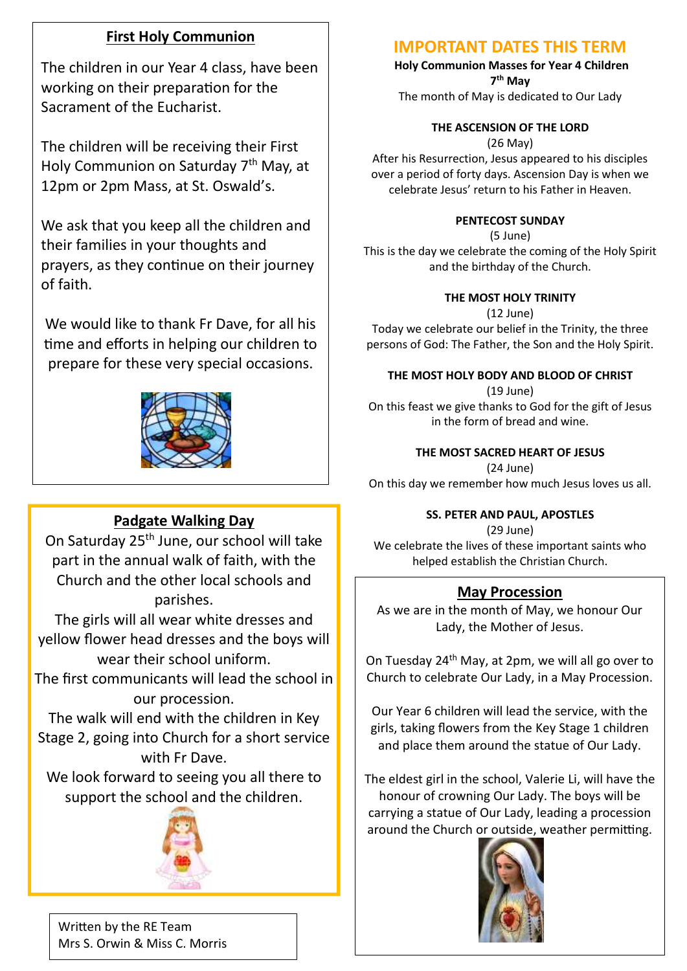# **First Holy Communion**

The children in our Year 4 class, have been working on their preparation for the Sacrament of the Eucharist.

The children will be receiving their First Holy Communion on Saturday 7<sup>th</sup> May, at 12pm or 2pm Mass, at St. Oswald's.

We ask that you keep all the children and their families in your thoughts and prayers, as they continue on their journey of faith.

We would like to thank Fr Dave, for all his time and efforts in helping our children to prepare for these very special occasions.



# **Padgate Walking Day**

On Saturday 25<sup>th</sup> June, our school will take part in the annual walk of faith, with the Church and the other local schools and parishes.

The girls will all wear white dresses and yellow flower head dresses and the boys will wear their school uniform.

The first communicants will lead the school in our procession.

The walk will end with the children in Key Stage 2, going into Church for a short service with Fr Dave.

We look forward to seeing you all there to support the school and the children.



# **IMPORTANT DATES THIS TERM**

**Holy Communion Masses for Year 4 Children 7 th May**

The month of May is dedicated to Our Lady

# **THE ASCENSION OF THE LORD**

(26 May)

After his Resurrection, Jesus appeared to his disciples over a period of forty days. Ascension Day is when we celebrate Jesus' return to his Father in Heaven.

### **PENTECOST SUNDAY**

(5 June)

This is the day we celebrate the coming of the Holy Spirit and the birthday of the Church.

## **THE MOST HOLY TRINITY**

(12 June)

Today we celebrate our belief in the Trinity, the three persons of God: The Father, the Son and the Holy Spirit.

## **THE MOST HOLY BODY AND BLOOD OF CHRIST**

(19 June) On this feast we give thanks to God for the gift of Jesus in the form of bread and wine.

## **THE MOST SACRED HEART OF JESUS**

(24 June)

On this day we remember how much Jesus loves us all.

## **SS. PETER AND PAUL, APOSTLES**

(29 June) We celebrate the lives of these important saints who helped establish the Christian Church.

# **May Procession**

As we are in the month of May, we honour Our Lady, the Mother of Jesus.

On Tuesday 24th May, at 2pm, we will all go over to Church to celebrate Our Lady, in a May Procession.

Our Year 6 children will lead the service, with the girls, taking flowers from the Key Stage 1 children and place them around the statue of Our Lady.

The eldest girl in the school, Valerie Li, will have the honour of crowning Our Lady. The boys will be carrying a statue of Our Lady, leading a procession around the Church or outside, weather permitting.



Written by the RE Team Mrs S. Orwin & Miss C. Morris